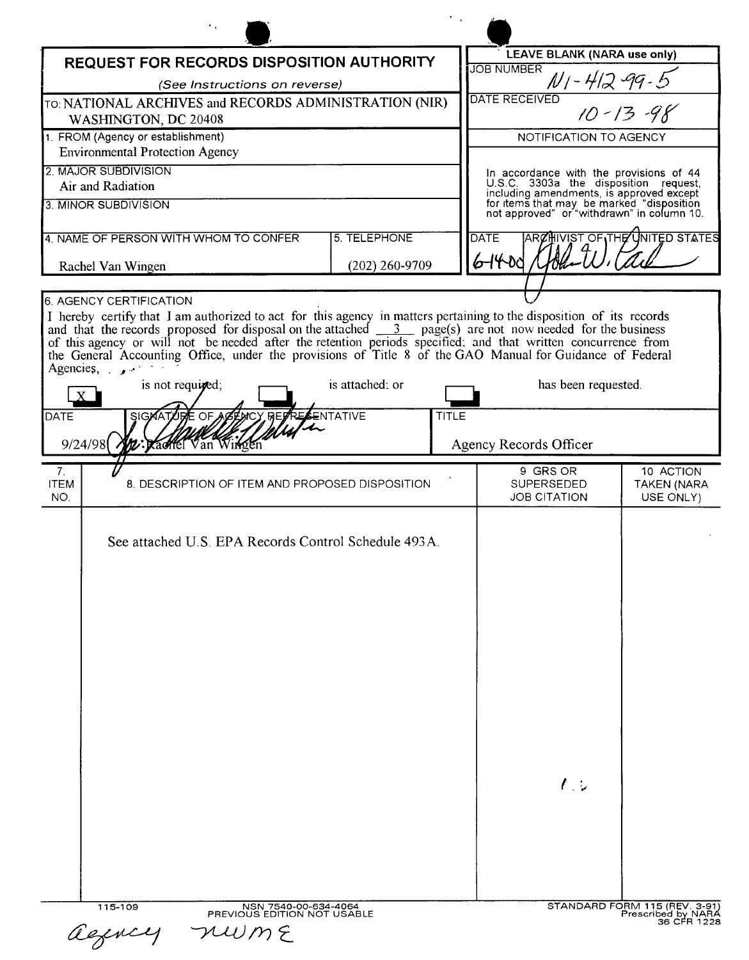| <b>REQUEST FOR RECORDS DISPOSITION AUTHORITY</b>                                                                                                                                                                                                                                                                                                                                                                                                                                                               |                  | <b>LEAVE BLANK (NARA use only)</b><br><b>JOB NUMBER</b>                                                                             |                                              |
|----------------------------------------------------------------------------------------------------------------------------------------------------------------------------------------------------------------------------------------------------------------------------------------------------------------------------------------------------------------------------------------------------------------------------------------------------------------------------------------------------------------|------------------|-------------------------------------------------------------------------------------------------------------------------------------|----------------------------------------------|
| (See Instructions on reverse)                                                                                                                                                                                                                                                                                                                                                                                                                                                                                  |                  | $N$ 1 - 412 -99 - 5                                                                                                                 |                                              |
| TO: NATIONAL ARCHIVES and RECORDS ADMINISTRATION (NIR)<br>WASHINGTON, DC 20408                                                                                                                                                                                                                                                                                                                                                                                                                                 |                  | <b>DATE RECEIVED</b><br>$10 - 13 - 98$                                                                                              |                                              |
| 1. FROM (Agency or establishment)                                                                                                                                                                                                                                                                                                                                                                                                                                                                              |                  | NOTIFICATION TO AGENCY                                                                                                              |                                              |
| <b>Environmental Protection Agency</b>                                                                                                                                                                                                                                                                                                                                                                                                                                                                         |                  |                                                                                                                                     |                                              |
| 2. MAJOR SUBDIVISION<br>Air and Radiation                                                                                                                                                                                                                                                                                                                                                                                                                                                                      |                  | In accordance with the provisions of 44<br>U.S.C. 3303a the disposition request,                                                    |                                              |
| 3. MINOR SUBDIVISION                                                                                                                                                                                                                                                                                                                                                                                                                                                                                           |                  | including amendments, is approved except<br>for items that may be marked "disposition<br>not approved" or "withdrawn" in column 10. |                                              |
| 4. NAME OF PERSON WITH WHOM TO CONFER                                                                                                                                                                                                                                                                                                                                                                                                                                                                          | 5. TELEPHONE     | <b>DATE</b>                                                                                                                         | ARCHIVIST OF THE UNITED STATES               |
| Rachel Van Wingen                                                                                                                                                                                                                                                                                                                                                                                                                                                                                              | $(202)$ 260-9709 | 6-1400                                                                                                                              |                                              |
| <b>6. AGENCY CERTIFICATION</b>                                                                                                                                                                                                                                                                                                                                                                                                                                                                                 |                  |                                                                                                                                     |                                              |
| I hereby certify that I am authorized to act for this agency in matters pertaining to the disposition of its records<br>and that the records proposed for disposal on the attached $\frac{3}{\sqrt{2}}$ page(s) are not now needed for t<br>of this agency or will not be needed after the retention periods specified; and that written concurrence from<br>the General Accounting Office, under the provisions of Title 8 of the GAO Manual for Guidance of Federal<br>Agencies, $\cdot$<br>is not required; | is attached; or  | has been requested.                                                                                                                 |                                              |
| SIGNATURE OF ACENCY REP<br>RESENTATIVE<br><b>DATE</b><br>2: Kachel Van Winger<br>9/24/98                                                                                                                                                                                                                                                                                                                                                                                                                       | <b>TITLE</b>     | Agency Records Officer                                                                                                              |                                              |
| 7.<br><b>ITEM</b><br>8. DESCRIPTION OF ITEM AND PROPOSED DISPOSITION<br>NO.                                                                                                                                                                                                                                                                                                                                                                                                                                    |                  | 9 GRS OR<br>SUPERSEDED<br><b>JOB CITATION</b>                                                                                       | 10 ACTION<br><b>TAKEN (NARA</b><br>USE ONLY) |
| See attached U.S. EPA Records Control Schedule 493A.                                                                                                                                                                                                                                                                                                                                                                                                                                                           |                  |                                                                                                                                     |                                              |
|                                                                                                                                                                                                                                                                                                                                                                                                                                                                                                                |                  | $\ell$ . $\overline{\ell}$                                                                                                          |                                              |

| agency |
|--------|
|--------|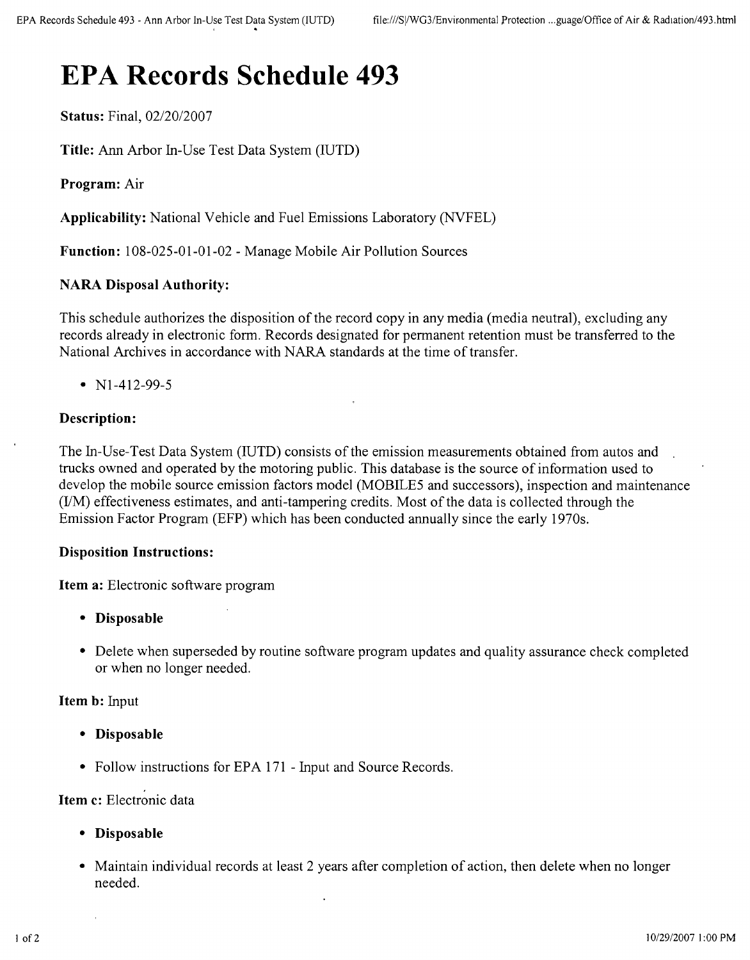# **EPA Records Schedule 493**

**Status:** Final, *02/20/2007*

**Title:** Ann Arbor In-Use Test Data System (IUTD)

**Program:** Air

**Applicability:** National Vehicle and Fuel Emissions Laboratory (NVFEL)

**Function:** 108-025-01-01-02 - Manage Mobile Air Pollution Sources

# **NARA Disposal Authority:**

This schedule authorizes the disposition of the record copy in any media (media neutral), excluding any records already in electronic form. Records designated for permanent retention must be transferred to the National Archives in accordance with NARA standards at the time of transfer.

•  $N1-412-99-5$ 

### **Description:**

The In-Use-Test Data System (IUTD) consists of the emission measurements obtained from autos and trucks owned and operated by the motoring public. This database is the source of information used to develop the mobile source emission factors model (MOBILE5 and successors), inspection and maintenance  $(UM)$  effectiveness estimates, and anti-tampering credits. Most of the data is collected through the Emission Factor Program (EFP) which has been conducted annually since the early 1970s.

#### **Disposition Instructions:**

**Item a:** Electronic software program

- **• Disposable**
- Delete when superseded by routine software program updates and quality assurance check completed or when no longer needed.

#### **Item b:** Input

- **• Disposable**
- Follow instructions for EPA 171 Input and Source Records.

### **Item c:** Electronic data

- **• Disposable**
- Maintain individual records at least 2 years after completion of action, then delete when no longer needed.